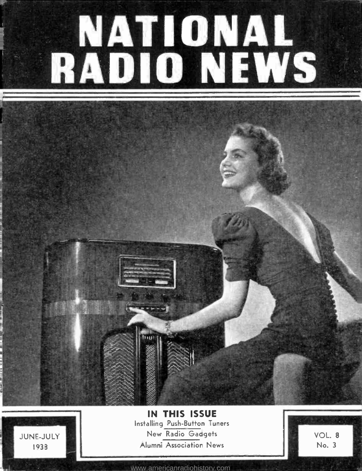# NATIONAL RADIO NEWS

JUNE-JULY 1933

IN THIS ISSUE Installing Push-Button Tuners New Radio Gadgets Alumni Association News

VOL. 8 No. 3

<www.americanradiohistory.com>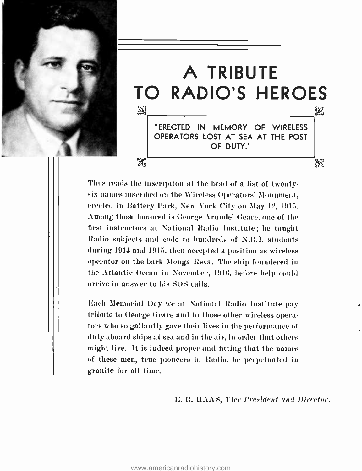



Thus reads the inscription at the head of a list of twentysix names inscribed on the Wireless Operators' Monument, erected in Battery Park, New York City on May 12, 1915. Among those honored is George Arundel Geare, one of the first instructors at National Radio Institute; he taught Radio subjects and code to hundreds of N.R.I. students during 1914 and 1915, then accepted a position as wireless operator on the bark Monga Reva. The ship foundered in the Atlantic Ocean in November, 1916, before help could arrive in answer to his SOS calls.

Each Memorial Day we at National Radio Institute pay tribute to George Geare and to those other wireless operators who so gallantly gave their lives in the performance of duty aboard ships at sea and in the air, in order that others might live. It is indeed proper and fitting that the names of these men, true pioneers in Radio, be perpetuated in granite for all time.

E. R. HAAS, Vice President and Director.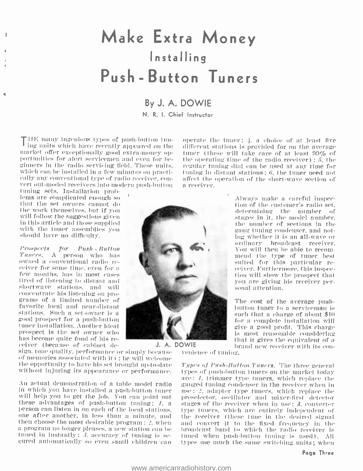### Make Extra Money Installing Push - Button Tuners

### By J. A. DOWIE

N. R. I. Chief Instructor

IIE many ingenious types of push-button tun-  $\frac{1}{2}$  ing units which have recently appeared on the different stations is provided for on the average market offer exceptionally good extra-money optimer (these will take care of at least 99% of portunities for alert servicemen and even for be-ginners in the radio servicing field. These units, which can be installed in a few minutes on practically any conventional type of radio receiver, convert out-moded receivers into modern push-button

tuning sets. Installation problems are complicated enough so that the set owners cannot do the work themselves. but if you will follow the suggestions given in this article and those supplied with the tuner assemblies you should have no difficulty.

l'rospeeta for Push. - Button Timers. A person who has owned a conventional radio re-<br>ceiver for some time, even for a<br>few months, has in most cases<br>tired of listening to distant and shortwave stations, and will concentrate his listening on programs of a limited number of favorite local and near- distant stations. Such a set -owner is a good prospect for a push -button tuner installation. Another ideal prospect is the set owner who<br>has become quite fond of his receiver (because of cabinet de-

sign, tone quality, performance or simply because - venience of tuning. of memories associated with it) ; he will welcome the opportunity to have his set brought up -to -date without injuring its appearance or performance. J. A. DOWIE

An actual demonstration of a table model radio in which you have installed a push-button tuner will help you to get the job. You can point out these advantages of push-button tuning;  $I$ , a person can listen in on each of the local stations.<br>one after another, in less than a minute, and then choose the most desirable program ; 2, when a program no longer pleases, a new station can be tuned in instantly ; 3, accuracy of tuning is secured automatically so even small children can

operate the tuner;  $\lambda$ , a choice of at least five different stations is provided for on the average the operating time of the radio receiver) ;  $\delta$ , the regular tuning dial can be used at any time for tuning in distant stations;  $6$ , the tuner need not affect the operation of the short-wave section of a receiver.



The cost of the average push- button tuner to a serviceman is such that a charge of about \$10 for a complete installation will give a good profit. This charge is most reasonable considering<br>that it gives the equivalent of a<br>brand new receiver with its con-

Types of Push-Button. Tuners. The three general types of push -button tuners ou the market today are: /. trimmer type tuners, which replace the ganged tuning condenser in the receiver when in use: 2, adapter type tuners, which replace the preselector, oscillator and mixer -first detector stages of the receiver when in use: 3, converter type turners, which are entirely independent of the receiver (these tune in the desired signal and convert it to the fixed frequency in the broadcast band to which the radio receiver is tuned when push-button tuning is used). All types use much the same switching units; when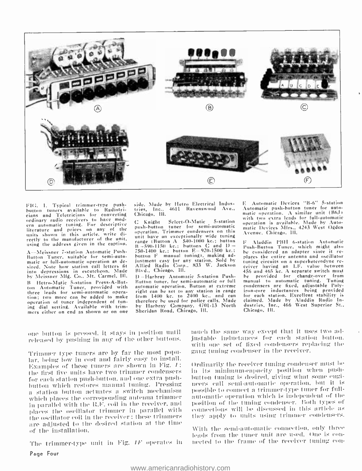

FIG. 1. Typical trimmer-type pushbutton tuners available to Radiotricians and Teletricians for converting ordinary radio receivers to have mod-<br>orn automatic tuning. For descriptive ern automatic tuning.<br>Hiterature and prices on any of the publicant units shown in this article, write directly to the manufacturer of the unit. using the address given in the caption.

A--Meissner 7-station Automatic Push-Button Tuner, suitable for semi-auto-<br>matic or full-automatic operation as de-<br>sired. Note how station call letters fit into depressions in escutcheon. Made Blvd., Chicago, Ill.<br>by Meissner Mfg. Co., Mt. Carmel, Ill. () - Harbray Automatic 5-station Pushby Meissner Mfg. Co., Mt. Carmel, Ill. B Hetro -Matic 5- station Press- A -But-ton Automatic Tuner, provided with three leads for semi-automatic opera-<br>tion: two more can be added to make operation of tuner independent of tuning dial setting. Available with trim mers either on end as shown or on one

side. Made by Hetro Electrical Indus-Chicago. Ill.

Select-O-Matic 5-station push-button tuner for semi-automatic operation. Trimmer condensers on this unit have an exceptionally wide tuning range (Button A 540-1000 kc.; button – p<br>B -590-1150 kc.; buttons C and D – Pu<br>750-1400 kc.; button E 920-1500 kc.; – be button F manual tuning), making adjustment easy for any station. Sold by Allied Radio Corp., 833 W. Jackson Blvd., Chicago, Ill.

Button tuner, for semi-automatic or full manual to automatic tuning. Tuning<br>automatic operation, Button at extreme condensers are fixed, adjustable Polyautomatic operation. Button at extreme therefore he used for police calls. Made by Harhray Company, 4701-13 North Sheridan Road, Chicago, Ill.

tries, Inc., 4611 Ravenswood Ave., Automatic push-button tuner for auto-<br>Chicago, Hi. 4611 Ravenswood Ave., Automatic operation. A similar unit (B6J) <sup>E</sup>Automatic Devices "B -6" 5- station with two extra leads for full-automatic operation is available. Made by Automatic Devices Mfrs., 4243 West Ogden Avenue, Chicago, Iii.

right can be set to any station in range iron-core inductances being provided<br>from 1400 kc, to 2400 kc., and can for each station. Excellent stability is Aladdin PBH 6-station Automatic Push- Button 'Tuner, which might also nlaces the entire antenna and oscillator tuning circuits on a superheterodyne re-<br>ceiver having an I.F. value between eeiver having an *LC*, yang change switch must<br>he provided for change-over from<br>manual to automatic tuning. Tuning iron-core inductances being provided for each station. Excellent stability is claimed. Made by Aladdin Radio In-dustries, Inc., 466 West Superior St., Chicago, Ill.

one hutton is pressed, it stays ju position until released hy pushing in any of the other buttons.

'Primmer type tuners are by far the most popular, being low in cost and fairly easy to install. Examples of these tuners are shown in Fig. /: the first five units have two trimmer condensers — in [its] minimum-capacity [position] when [push-<br>for each station push-button, and one extra push- — button tuning is desired, giving what some engifor each station push-button, and one extra pushbutton which restores manual tuning. Pressing a station button actuates a switch mechanism which places the corresponding antenna trimmer in parallel with the It.F. coil in the receiver, and places the oscillator trimmer in parallel with the oscillator coil in the receiver : these trimmers are adjusted to the desired station at the time of the installation.

The trimmer-type unit in Fig.  $IF$  operates in Page Four

much the same way except that it uses two adinstable inductances for each station button. with one set of fixed condensers replacing the gang tuning condenser in the receiver.

Ordinarily the receiver tuning condenser must he in its minimum-capacity position when pushneers call semi-automatic operation, but it is possible to connect a trimmer-type tuner for full automatic operation which is independent of the position of the tuning condenser. Both types of connections will he discussed in this article as they apply to units using trimmer condensers.

\ \'illi the semiautomatic connection. only three leads from the tuner unit are used. One is conmeeted to the frame of the receiver tuning con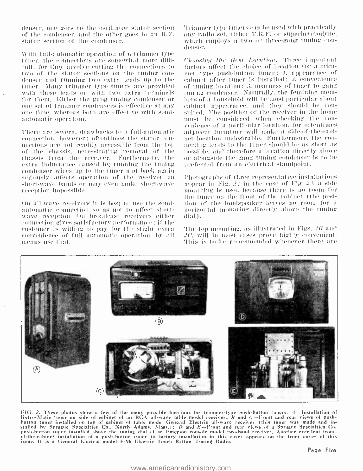denser, one goes to the oscillator stator section of the condenser, and the other goes to an R.F. stator section of the condenser.

With full-automatic operation of a trimmer-type tuner, the connections are somewhat more diffienlt, for they involve cutting the connections to two of the stator sections on the tuning condenser and running two extra leads up to the tuner. Many trimmer type tuners are provided with these leads or with two extra terminals for them. Either the gang tuning condenser or one set of trimmer condensers is effective at any one time, whereas both are effective with semiautomatic operation.

There are several drawbacks to a full-automatic connection, however; oftentimes the stator connections are not readily accessible from the top of the chassis, necessitating removal of the chassis from the receiver. Furthermore, the extra inductance caused by running the tuning condenser wires up to the tuner and back again seriously affects operation of the receiver on short-wave bands or may even make short-wave reception impossible.

On all-wave receivers it is best to use the semiautomatic connection so as not to affect shortwave reception. On broadcast receivers either connection gives satisfactory performance; if the enstomer is willing to pay for the slight extra convenience of full automatic operation, by all means use that.

Trimmer type tuners can be used with practically any radio set, either T.R.F. or superheterodyne. which employs a two or three-gang tuning coudenser.

Choosing the Best Location. Three important factors affect the choice of location for a trimmer type push-button tuner: *1*, appearance of eabinet after tuner is installed; 2, convenience of tuning location; 3, nearness of tuner to gang tuning condenser. Naturally, the feminine memhers of a household will be most particular about cabinet appearance, and they should be consulted. The position of the receiver in the home must be considered when checking the convenience of a particular location, for oftentimes adjacent furniture will make a side-of-the-cabinet location undesirable. Furthermore, the connecting leads to the tuner should be as short as possible, and therefore a location directly above or alongside the gang tuning condenser is to be preferred from an electrical standpoint.

Photographs of three representative installations appear in Fig.  $2$ ; in the case of Fig. 2.1 a side mounting is used because there is no room for the tuner on the front of the cabinet (the position of the londspeaker leaves no room for a horizontal mounting directly above the tuning dial).

The top mounting, as illustrated in Figs, 2B and 20% will in most cases prove highly convenient. This is to be recommended whenever there are



FIG. 2. These photos show a few of the many possible locations for trimmer-type push-button tuners. A Installation of<br>Hetro-Matic tuner on side of cabinet of an RCA all-wave table model receiver; B and C-Front and rear vie button tuner installed on top of cabinet of table model General Electric all-wave receiver (this tuner was made and installed by Sprague Specialties Co., North Adams, Mass.); D and E-Front and rear views of a Sprague Specialties Co. push-button tuner installed above the tuning dial of an Emerson console model two-band receiver. Another excellent frontof the cabinet installation of a push-button toner ta factory installation in this case) appears on the front cover of this issue. It is a General Electric model F-96 Electric Touch Batton Tuning Radio.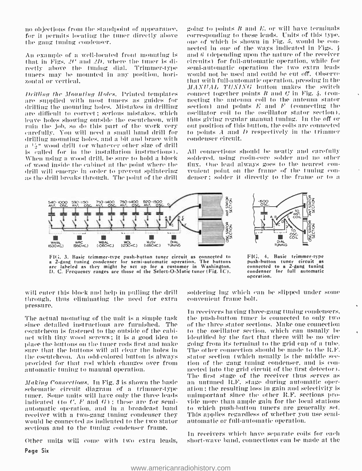no objections from the standpoint of appearance, for it permits locating the tuner directly above the gang funing condenser.

An example of a well-located front mounting is that in Figs.  $2C$  and  $2D$ , where the timer is directly above the tuning dial. Trimmer-type tuners may be mounted in any position, horizontal or vertical.

Dritling the Mounting Holes. Printed templates are supplied with most tuners as guides for drilling the mounting holes. Mistakes in drilling are difficult to correct; serious mistakes, which leave holes showing outside the escutcheon, will ruin the job, so do this part of the work very carefully. You will need a small hand drill for drilling mounting holes, and a bit and brace with a 14" wood drill (or whatever other size of drill is called for in the installation instructions). When using a wood drill, be sure to hold a block of wood inside the cabinet at the point where the drill will emerge in order to prevent splintering as the drill breaks through. The point of the drill

going to points  $B$  and  $E$ , or will have terminals corresponding to these leads. Units of this type. one of which is shown in Fig. 5, would be connected in one of the ways indicated in Figs. 4 and  $6$  (depending upon the nature of the receiver circuits) for full-automatic operation, while for semi-automatic operation the two extra leads would not be used and could be cut off. Observe that with full-automatic operation, pressing in the MANUAL TUNING button makes the switch connect together points  $B$  and  $C$  in Fig. 4. (connecting the antenna coil to the antenna stator section) and points  $E$  and  $F$  (connecting the oscillator coil to the oscillator stator section). thus giving regular manual tuning. In the off or out position of this button, the coils are connected to points  $A$  and  $D$  respectively in the trimmer condenser circuit.

All connections should be neatly and carefully soldered, using rosin-core solder and no other flux. One lead always goes to the nearest convenient point on the frame of the tuning condenser; solder it directly to the frame or to a



FIG. 3. Basic trimmer-type push-button tuner circuit as connected to a 2-gang tuning condenser for semi-automatic operation. The buttons are labeled as they might be set up for a customer in Washington. D. C. Frequency ranges are those of the Select-O-Matic tuner (Fig. 1C).

FIG. 4. Basic trimmer-type push-button tuner circuit as connected to a 2-gang tuning condenser for full automatic operation.

will enter this block and help in pulling the drill through, thus eliminating the need for extra pressure.

The actual mounting of the unit is a simple task since detailed instructions are furnished. The escutcheon is fastened to the outside of the cabinet with tiny wood screws; it is a good idea to place the buttons on the tuner rods first and make sure that the buttons will all clear the holes in the escutcheon. An odd-colored button is always provided for that rod which changes over from automatic tuning to manual operation.

Making Connections. In Fig. 3 is shown the basic schematic circuit diagram of a trimmer-type tuner. Some units will have only the three leads indicated (to  $C$ , F and  $G$ ); these are for semiautomatic operation, and in a broadcast band receiver with a two-gang tuning condenser they would be connected as indicated to the two stator sections and to the tuning condenser frame.

Other units will come with two extra leads,

Page Six

soldering lug which can be slipped under some convenient frame bolt.

In receivers having three-gang tuning condensers, the push-button tuner is connected to only two of the three stator sections. Make one connection to the oscillator section, which can usually be identified by the fact that there will be no wire going from its terminal to the grid cap of a tube. The other connection should be made to the R.F. stator section (which usually is the middle section of the gang tuning condenser, and is connected into the grid circuit of the first detector). The first stage of the receiver thus serves as an untuned R.F. stage during automatic operation; the resulting loss in gain and selectivity is unimportant since the other R.F. sections provide more than ample gain for the local stations to which push-button tuners are generally set. This applies regardless of whether you use semiautomatic or full-automatic operation.

In receivers which have separate coils for each short-wave band, connections can be made at the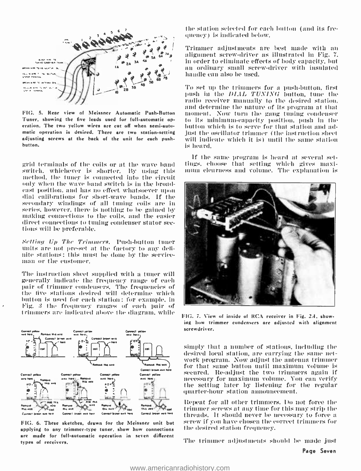

FIG. 5. Rear view of Meissner Automatic Push-Button Tuner, showing the five leads used for full-automatic oneration. The two yellow wires are cut off when semi-automatic operation is desired. There are two station-setting adjusting screws at the back of the unit for each pushhutton.

grid terminals of the coils or at the wave band switch, whichever is shorter. By using this method, the tuner is connected into the circuit only when the wave band switch is in the broadcast position, and has no effect whatsoever upon dial calibrations for short-wave bands. If the secondary windings of all tuning coils are in series, however, there is nothing to be gained by making connections to the coils, and the easier direct connections to tuning condenser stator sections will be preferable.

Setting Up The Trimmers. Push-button tuner units are not pre-set at the factory to any definite stations; this must be done by the serviceman or the customer.

The instruction sheet supplied with a tuner will generally indicate the frequency range of each pair of trimmer condensers. The frequencies of the five stations desired will determine which button is used for each station; for example, in Fig. 3 the frequency ranges of each pair of trimmers are indicated above the diagram, while



FIG. 6. These sketches, drawn for the Meissner unit but applying to any trimmer-type tuner, show how connections are made for full-automatic operation in seven different types of receivers.

the station selected for each button (and its frequency) is indicated below.

Trimmer adjustments are best made with an alignment screw-driver as illustrated in Fig. 7. in order to eliminate effects of body capacity, but an ordinary small screw-driver with insulated handle can also be used.

To set up the trimmers for a push-button, first push in the DIAL TUNING button, tune the radio receiver manually to the desired station. and determine the nature of its program at that moment. Now turn the gang tuning condenser to its minimum-capacity position, push in the button which is to serve for that station and adjust the oscillator trimmer (the instruction sheet will indicate which it is) until the same station is heard.

If the same program is heard at several settings, choose that setting which gives maximum elearness and volume. The explanation is



FIG, 7. View of inside of RCA receiver in Fig. 2.4, showing how trimmer condensers are adjusted with alignment screwdriver.

simply that a number of stations, including the desired local station, are carrying the same network program. Now adjust the antenna trimmer for that same button until maximum volume is secured. Re-adjust the two trimmers again if necessary for maximum volume. You can verify the setting later by listening for the regular quarter-hour station announcement.

Repeat for all other trimmers. Do not force the trimmer serews at any time for this may strip the threads. It should never be necessary to force a screw if you have chosen the correct trimmers for the desired station frequency.

The trimmer adjustments should be made just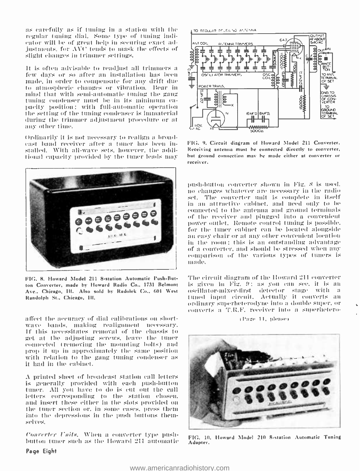as carefully as if tuning in a station with the  $\sim$  to searce selections regular tuning dial. Some type of tuning indicator will be of great help in securing exact adjustments. for AVC tends to mask the effects of slight changes in trimmer settings.

It is often advisable to readjust all trimmers a  $\frac{1}{6}$  few days or so after an installation has been  $\frac{1}{2}$ . made, in order to compensate for any drift due to atmospheric changes or vibration. Bear in<br>mind that with semi-automatic tuning the gang tuning condenser must be in its minimum ca-<br>pacity position: with full-automatic operation the setting of the tuning condenser is immaterial during the trimmer adjustment procedure or at any other time.

Ordinarily it is not necessary to realign a broad-<br>cast band receiver after a toner has been installed. With all-wave sets, however, the additional capacity provided by the tuner loads may



FIG. 8. Howard Model 211 8-station Automatic Push-But-<br>ton Converter, made by Howard Radio Co., 1731 Belmont Ave., Chicago, Ill. Also sold by Radolek Co., 601 West Randolph St., Chicago, Ill.

affect the accuracy of dial calibrations on short- wave bands. making realignment necessary. If this necessitates removal of the chassis to get at the adjusting screws. leave Hoe tuner connected Iremoving the mounting bolts) and prop it up in approximately the same position with relation to the gang tuning condenser as it had in the cabinet.

<sup>A</sup>printed sheet of broadcast station call letters is generally provided with each push -button tuner. All you have to do is eut out the call letters corresponding to the station chosen,<br>and insert these either in the slots provided on the tuner section or, in some cases, press them into the depressions in the push buttons themselves.

 $\emph{Conreuter Units},$  When a converter type push-  $_{\rm{FIG.~10}}$  button tuner such as the Howard 211 automatic  $_{\rm{Adaster.}}$ 



FIG. 9. Circuit diagram of Howard Model 211 Converter. Receiving antenna must he connected directly to converter, but ground connection may be made either at converter or receiver.

push-button converter shown in Fig. 8 is used. no changes whatever are necessary in the radio set. The converter unit is complete in itself in an attractive cabinet, and need only to be connected to the antenna and ground terminals of the receiver and plugged into a convenient power outlet. Remote control tuning is possible.<br>for the tuner cabinet can be located alongside an easy chair or at any other convenient location in the room; this is an outstanding advantage of a converter, and should be stressed when any comparison of the carions types of tuners is mode.

The circuit diagram of the Howard 211 converter is given in Fig.  $\theta$ : as you can see, it is an oscillator-mixer-first detector stage with a tuned input circuit. .Actually it converts an ordinary superheterodyne into a double super, or converts a 'l'.It,V. receiver into a superhetero-

<sup>t</sup>)'age 11. please'



FIG. 10. Howard Model 210 8-station Automatic Tuning<br>Adapter.

Page Eight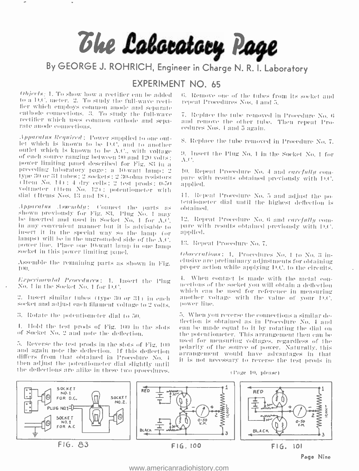# The Laboratory Page

By GEORGE J. ROHRICH, Engineer in Charge N. R. I. Laboratory

### **FXPERIMENT NO. 65**

 $Obiccls_1$  1. To show how a rectifier can be added to a D.C. meter. 2. To study the full-wave rectifier which employs common anode and separate cathode connections. 3. To study the full-wave rectifier which uses common cathode and separate anode connections.

Apparatus Required: Power supplied to one outlet which is known to be D.C. and to another outlet which is known to be A.C., with voltage of each source ranging between 90 and 120 volts; power limiting panel described for Fig. 83 in a preceding laboratory page: a 10-watt lamp: 2 type 30 or 31 tubes; 2 sockets; 2 30-ohm resistors (Hem No. 14) : 4 dry cells : 2 test prods : 0-50 voltmeter (Hem No. 12); potentiometer with dial (Items Nos. 13 and 18).

Apparatus Assembly: Connect the parts as shown previously for Fig. 83. Plug No. 1 may be inserted and used in Socket No. 1 for A.C. in any convenient manner but it is advisable to insert it in the special way so the lamp (or lamps) will be in the ungrounded side of the  $\Lambda$ ,C. power line. Place one 10-watt lamp in one lamp socket in this power limiting panel.

Assemble the remaining parts as shown in Fig. TOO.

Experimental Procedures: 1. Insert the Plug No. I in the Socket No. 1 for D.C.

2. Insert similar tubes (type 30 or 31) in each socket and adjust each filament voltage to 2 volts.

3. Rotate the potentiometer dial to 50.

1. Hold the test prods of Fig. 100 in the slots of Socket No. 2 and note the deflection.

5. Reverse the test prods in the slots of Fig. 100 and again note the deflection. If this deflection differs from that obtained in Procedure No. 4 then adjust the potentiometer dial slightly until the deflections are alike in these two procedures. 6. Remove one of the tubes from its socket and repeat Procedures Nos, 4 and 5.

7. Replace the tube removed in Procedure No. 6 and remove the other tube. Then repeat Procedures Nos. 4 and 5 again.

8. Replace the tube removed in Procedure No. 7.

9. Insert the Plug No. 1 in the Socket No. 1 for  $\Lambda$ .C.

10. Repeat Procedure No. 4 and carefully compare with results obtained previously with D.C. applied.

11. Repeat Procedure No. 5 and adjust the potentiometer dial until the highest deflection is obtained.

12. Repeat Procedure No. 6 and carefully compare with results obtained previously with D.C. applied.

13. Repeat Procedure No. 7.

Observations: 4. Procedures No. 1 to No. 3 inclusive are preliminary adjustments for obtaining proper action while applying D.C. to the circuits.

4. When contact is made with the metal connections of the socket you will obtain a deflection which can be used for reference in measuring another voltage with the value of your D.C. nower line.

5. When you reverse the connections a similar deflection is obtained as in Procedure No. 4 and can be made equal to it by rotating the dial on the potentiometer. This arrangement then can be used for measuring voltages, regardless of the polarity of the source of power. Naturally, this arrangement would have advantages in that it is not necessary to reverse the test prods in

(Page 10, please)



Page Nine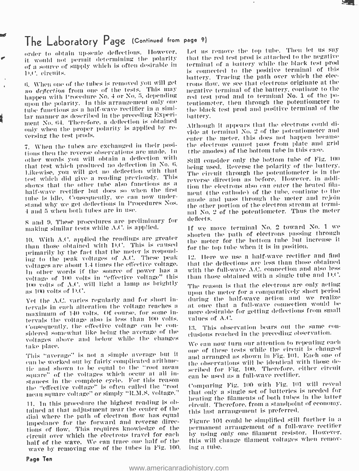### The Laboratory Page (Continued from page 9)

order to obtain up -scale deflections. However. it would not permit determining the polarity of a source Of supply which is often desirable in D.C. circuits.

n. When one of the tubes is removed you will get no deflection from one of the tests. This may happen with Procedure No. 4 or No. 5, depending tube functions as a half-wave rectifier in a similar manner as described in the preceding Experiment No. 64. Therefore, a deflection is obtained only when the proper polarity is applied by re- versing the test prods.

T. When the tubes are exchanged in their positions then the reverse observations are made. In other words you will obtain a deflection with that test which produced no deflection in No. 6.<br>Likewise, you will get no deflection with that the einemit through the potentiometer is in the<br>test which did give a reading previously. This reverse direction as before. Ho test which did give a reading previously. This shows that the other tube also functions as a half-wave rectifier but does so when the first tube is idle. Consequently, we can now understand why we get deflections in Procedures Nos. 4 and 5 when both tubes are in use.

S and 9. These procedures are preliminary for the denotes.<br>making similar tests while A.C. is applied. The the move terminal No. 2 toward No. 1 we making similar tests while A.C. is applied.

10. With A.C. applied the readings are greater than those obtained with D.C. This is caused primarily by the fact that the meter is responding to the peak voltages of A.C. These peak voltages are about 1.4 times the effective voltage. In other words if the source of power has a voltage of 100 volts in " effective voltage" this too volts of  $\Lambda.C.$  will light a lamp as brightly as 100 volts of  $D.C.$ 

Yet the A.C. varies regularly and for short intervals in each alteration the voltage reaches a maximum of 140 volts. Of course. for some intervals the voltage also is less than 100 volts. values of A.C.<br>Consequently, the effective voltage can be contracted as the spectration bears out the same considered somewhat like being the average of the voltages above and below while the changes successive conclusion in the preceding of containing each we can now turn our attention to repeating each take place.

This "average" is not a simple average but it can be worked out by fairly complicated arithme-<br>tic\_and\_shown\_to\_be\_equal\_to\_the\_"root\_mean square" of the voltages which occur at all insquare" of the voltages which occur at all in-<br>stances in the complete cycle. For this reason the "effective voltage" is often called the "root meaning Fig. 100 with Fig. 101<br>mean square voltage" or simply "R.M.S. voltage.

ll. In this procedure the highest rending is obtained at that adjustment near the center of the dial where the path of electron flow has equal<br>impodence for the forward and reverse direc- Figure 101 could be simplified still further in a impedance for the forward and reverse directions of flow. This requires knowledge of the circuit over which the electrons travel for each half of the wave. We can trace one half of the this will covare by removing one of the tubes in Fig. 100. Ing a tube.

Let us remove the top tube. Then let us say that the red test prod is attached to the negative terminal of a battery- while the black test prod is connected to the positive terminal of this battery. Tracing the path over which the electrons flow. we see that electrons originate at the negative terminal of the battery. continue to the red test prod and to terminal No. 1 of the potentiometer, then through the potentiometer to the black test prod and positive terminal of the battery.

Although it appears that the electrons could divide at terminal No. 2 of the potentiometer and enter the meter. this does not happen because the electrons cannot pass from plate and grid (the anodes) of the bottom tube in this case.

Still consider only the bottom tube of Fig. <sup>100</sup> being used. Reverse the polarity of the battery. The circuit through the potentiometer is in the tion the electrons also can enter the heated filament (the cathode) of the tube, continue to the anode and pass through the meter and rejoin the other portion of the electron stream at terminal No. 2 of the potentiometer. Thus the meter deflects.

shorten the path of electrons passing through the meter for the bottom tube but increase it for the top tube when it is in position.

12. Here we use a half-wave rectifier and find that the deflections are less than those obtained with the full-wave A.C. connection and also less than those obtained with a single tube and D.C.

The reason is that the electrons are only acting upon the meter for a comparatively short period during the half-wave action and we realize<br>at once that a full-wave connection would be more desirable for getting deflections from small values of A.C.

clusions reached in the preceding observation.

one of these tests while the circuit is changed and arranged as shown in Fig. 101. Each one of the observations will he identical with those described for Fig. 100. Therefore, either circuit

Comparing Fig. 100 with Fig. 101 will reveal that only a single set of batteries is needed for heating the filaments of both tubes in the latter circuit. Therefore, from a standpoint of economy. this last arrangement is preferred.

permanent arrangement of a full-wave rectifier by using only one filament resistor. However. this will change tilament voltages when remov-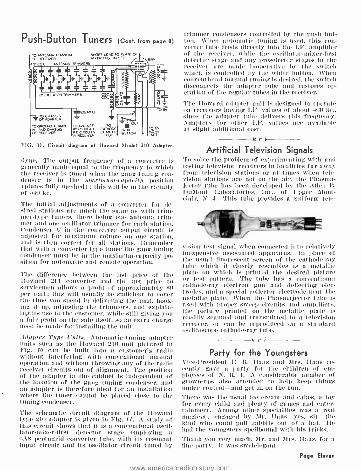

FIG. 11. Circuit diagram of Howard Model 210 Adapter.

dyne. The output frequency of a converter is - To solve the problem of experimenting with and<br>generally made equal to the frequency to which - testing television receivers in localities far away generally made equal to the frequency to which<br>the receiver is tuned when the gang tuning condenser is in the *maximum-capacity* position (plates fully meshed) ; this will be in the vicinity of  $540$  kc.

The initial adjustments of a converter for desired stations are much the same as with trimmer-type tuners, there being one antenna trim mer and one oscillator trimmer for each station. Uondenser  $C$  in the converter output circuit is adjusted for maximum volume on one station,<br>and is then correct for all stations. Remember<br>that with a converter type tuner the gang tuning spision test signal when connected into relatively condenser must be in the maximum-capacity position for automatic and remote operation.

The difference between the list price of the Plate on which is printed the desired picture<br>Howard 211 conventer and the not prim to first pattern. The tube has a conventional Howard 211 converter and the net price to servicemen allows a profit of approximately \$9 per unit : this will usually be sufficient to cover the time you spend in delivering the unit, hooking it up, adjusting the trimmers, and explain-<br>ing its use to the customer, while still giving you<br>a fair profit on the sale itself, so no extra charge aped be made for installing the unit.

Adapter Type Units. Automatic timing adapter units such as the Howard 210 unit pictured in Fig.  $I\theta$  can be built into a customer's radio without interfering with conventional manual and the resident E. R. Haas and Mrs. Haas re-<br>operation and without throwing any of the radio - Vice-President E. R. Haas and Mrs. Haas reoperation and without throwing any of the radio receiver circuits out of alignment. The position of cently gave a party for the children of em-<br>of the adapter in the cabinet is independent of a ployees of N. R. L. A considerable number of<br>the location of the game tuning the location of the gang tuning condenser, and an adapter is therefore ideal for an installation where the tuner cannot be placed close to the tuning condenser.

The schematic circuit diagram of the Howard type 210 adapter is given in Fig.  $II$ . A study of this circuit shows that it is a conventional oscillator-mixer-tirst detector stage employing a 6A8 pentagrid converter tube, with its resonant . Thank you very much, Mr. and input circuit and its oscillator circuit tuned by . tine party. It was swelelegant. input circuit and its oscillator circuit tuned by

**Push-Button Tuners** (Cont. from page 8) ton. When automatic tuning is used, this contrimmer controlled by fluit and the tuning push but - hence tuning the receiver, while the oscillator- mixer-first detector stage and any preselector stages in the receiver are made inoperative by the switch which is controlled by the white button. When conventional manual tuning is desired, the switch disconnects the adapter tube and restores operation of the regular tubes in the receiver.

> The Howard adapter unit is designed to operate<br>on receivers having I.F. values of about 460 kc..<br>since the adapter tube delivers this frequency. Adapters for other I.F. values are available at slight additional cost.



### Artificial Television Signals

To solve the problem of experimenting with and from television stations or at times when television stations are not on the air, the Phasmajector tube has been developed by the Allen B. DuMont Laboratories, Inc., of Upper Mont-<br>clair, N. J. This tube provides a uniform tele-



inexpensive associated apparatus. In place of<br>the usual fluorescent sereen of the cathode-ray tube which it closely resembles is a metallic plate on which is printed the desired picture cathode-ray electron gun and deflecting electrodes. and a special collector electrode near the metallic plate. When the Phasmajector tube is used with proper sweep circuits and amplifiers, tIle picture printed on the metallic plate is readily scanned and transmitted to a television receiver, or can be reproduced on a standard oscilloscope cathode-ray tube.

### $-\frac{\ }{\ }$ n r i $\frac{\ }{\ }$ Party for the Youngsters

cently gave a party for the children of emunder control—and get in on the fun.

There was the usual ice cream and cakes, a toy for every child and plenty of games and entertainment. Among other specialties was a real magician engaged by Mr. Haas--yes, sir--the hind who could pull rabbits out of a hat. Ile had the youngsters spellbound with his tricks.

Thank you very much. Mr, and Mrs. Haas, for a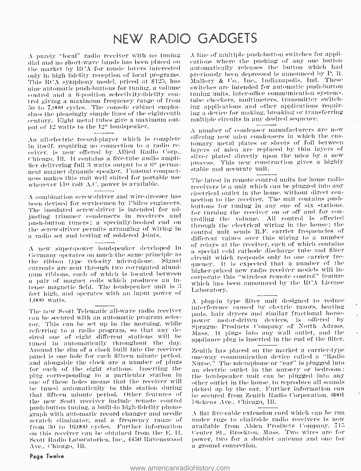### NEW RADIO GADGETS

A purely "local" radio receiver with no tuning dial and no short-wave bands has been placed on the market by RCA for music lovers interested only in high fidelity reception of local programs. This RCA symphony model, priced at \$125, has nine automatic push-buttons for tuning, a volume control and a 6-position selectivity-fidelity control giving a maximum frequency range of from 50 to 7,000 cycles. The console cabinet emphasizes the pleasingly simple lines of the eighteenth century. Eight metal tubes give a maximum output of 12 waits to the 12" loudspeaker.

An all-electric record-player which is complete in itself, requiring no connection to a radio receiver, is now offered by Allied Radio Corp., Chicago, Ill. It contains a five-tube audio amplitier delivering full 3 watts output to a 6" permanent magnet dynamic speaker. Unusual compactness makes this unit well suited for portable use wherever  $110$  volt  $\Lambda$ .C. power is available.

A combination serew-driver and wire-dresser has been devised for servicemen by Philco engineers. The insulated screw-driver is intended for adinsting trimmer condensers in receivers and push-button tuners; a specially-hooked end on the serew-driver permits arranging of wiring in a radio set and testing of soldered joints,

A new super-power loudspeaker developed in Germany operates on much the same principle as the ribbon type velocity microphone. Signal currents are sent through two corrugated aluminum ribbons, each of which is located between a pair of magnet coils which produces an intense magnetic field. The loudspeaker unit is 3 feet high, and operates with an input power of 1,000 watts.

The new Scott Telematic all-wave radio receiver can be secured with an automatic program selector. This can be set up in the morning, while referring to a radio program, so that any desired one of eight different stations will be tuned in automatically throughout the day. Around the rim of a clock built into the receiver panel is one hole for each fifteen minute period. and alongside the clock are a number of plugs for each of the eight stations. Inserting the plug corresponding to a particular station in one of these holes means that the receiver will be tuned automatically to this station during that fifteen minute period. Other features of the new Scott receiver include remote control push-button tuning, a built-in high-fidelity phonograph with automatic record changer and needle seratch eliminator, and a frequency range of from 30 to 16,000 cycles. Further information on this receiver can be obtained from the E. H. Scott Radio Laboratories, Inc., 4450 Ravenswood Ave., Chicago, Ill.

A line of multiple push-button switches for applientions where the pushing of any one button automatically releases the button which had previously been depressed is announced by P. R. Mallory & Co., Inc., Indianapolis, Ind. These switches are intended for automatic push-button tuning units, inter-office communication systems, tabe checkers, multimeters, transmitter switching applications and other applications requiring a device for making, breaking or transferring multiple circuits in any desired sequence.

A number of condenser manufacturers are now offering new mica condensers in which the customary metal plates or sheets of foil between layers of mica are replaced by thin layers of silver plated directly upon the mica by a new process. This new construction gives a highly stable and accurate unit.

The latest in remote control units for home radio receivers is a unit which can be plugged into any electrical outlet in the home, without direct connection to the receiver. The unit contains pushbuttons for tuning in any one of six stations. for turning the receiver on or off and for controlling the volume. All control is effected through the electrical wiring in the house; the control unit sends R.F. carrier frequencies of different values over this wiring to a number of relays at the receiver, each of which contains a special cold cathode discharge tube and filter circuit which responds only to one carrier frequency. It is expected that a number of the higher-priced new radio receiver models will incorporate this "wireless remote control" feature which has been announced by the RCA License Laboratory.

A plug-in type filter unit designed to reduce interference caused by electric razors, heating pads, hair dryers and similar fractional horsepower motor-driven devices, is offered by Sprague Products Company of North Adams. Mass. It plugs into any wall outlet, and the appliance plug is inserted in the end of the filter.

Zenith has placed on the market a carrier-type one-way communication device called a "Radio Nurse," The microphone or "ear" is plugged into an electric outlet in the nursery or bedroom; the loudspeaker unit can be plugged into any other outlet in the house, to reproduce all sounds picked up by the ear. Further information can be secured from Zenith Radio Corporation, 6001 Dickens Ave., Chicago, Ill.

A flat five-cable extension cord which can be run under rugs to chairside radio receivers is now available from Alden Products Company, 715 Center St., Brockton, Mass. Two wires are for power, two for a doublet antenna and one for a ground connection.

### Page Twelve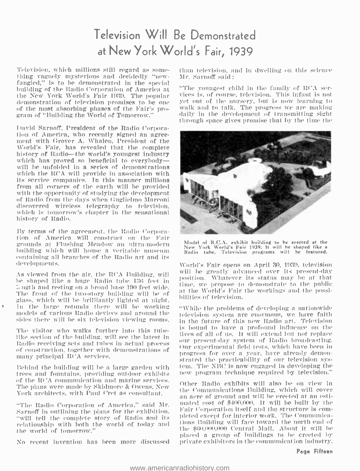### Television Will Be Demonstrated at New York World's Fair, 1939

'television, which millions still regard as some- thing vaguely mysterious and decidedly "newfangled," is to he demonstrated in the special building of the Radio Corporation of America at demonstration of television promises to be one<br>of the most absorbing phases of the Fair's program of "Building the World of Tomorrow."

itavid Sarnoff, President of the Radio Corpora- tion of America, who recently signed an agreement with Grover A. Whalen, President of the history of Radio—the world's youngest industry<br>which has proved so beneficial to everybody will he unfolded in a series of demonstrations which the RCA will provide in association with its service companies. In this manner millions from all corners of the earth will he provided with the opportunity of studying the development of Radio from the days when Guglielmo Marconi discovered wireless telegraphy to television. which is tomorrow's chapter in the sensational history of Radio.

By terms of the agreement. the Radio Corporation of America will construct on the Fair grounds at Flushing Meadow an ultra-modern<br>building which will house a veritable museum containing all branches of the Radio art and its developments.

be shaped like a huge Radio tube 136 feet in ngth and resting on a broad hase 190 feet wide. The front of the two-story building will be of the world's Fan glass, which will he brilliantly lighted at night. In the large rotunda there will be working models of various Radio devices and around the sides there will he six television viewing rooms.

The visitor who walks further into this tube-The visitor who wanks further fille this time-<br>like section of the building, will see the latest in the second day graten, of Dadis has desiting Radio receiving sets and tubes in actual process of cour present-day system of radio broadcasting.<br>
of construction, together with demonstrations of many principal RCA services.

trees and fountains, providing outdoor exhibits of the RCA communication and marine services. The plans were made by Skidmore & Ovens. New York architects, with Paul Cret as consultant.

"The Radio Corporation of America," said Mr. Sarnoff in outlining the plans for the exhibition. Fair Corporation itself and the structure is com-<br>"will tell the complete story of Radio and its — pleted except for interior work. The Communica-"will tell the complete story of Radio and its relationship with both the world of today and the world of tomorrow."

No recent invention has been more discussed

than television, and in dwelling on this science Mr. Sarnoff said :

vices is, of course, television. This infant is not yet out of the nursery, but is now learning to daily in the development of transmitting sight through space gives promise that by the time the



Model of R.C.A. exhibit building to he erected at the<br>New York World's Fair 1939. It will he shaped like a<br>Radio tube. Television programs will be featured.

As viewed from the air, the RCA Building, will be preatly advanced over its present-day World's Fair opens on April 30, 1939, television will be greatly advanced over its present-day time, we propose to demonstrate to the public at the World's Fair the workings and the possi-

Behind the building will be a large garden with  $\pm$  tem. The NBC is now engaged in developing the "While the problems of developing a nationwide television system are enormous, we have faith in the future of this new Radio art. Television is bound to have a profound influence on the our present-day system of Radio broadcasting. progress for over a year, have already demonstrated the practicability of our television sysnew program technique required by television."

> Other Radio exhibits will also be on view in an acre of ground and will be erected at an estimated cost of \$400,000. It will be built by the Fair Corporation itself and the structure is comtions Building will face toward the north end of the \$00,000.000 Central Mall. About it will he placed a group of buildings to be erected by private exhibitors in the communication industry.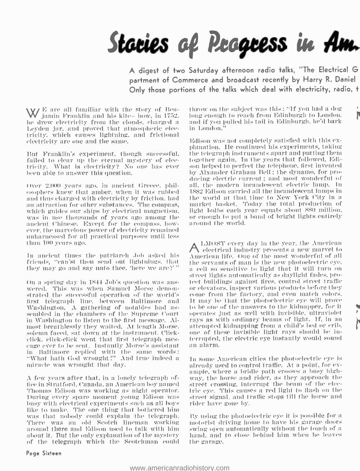

A digest of two Saturday afternoon radio talks, "The Electrical G partment of Commerce and broadcast recently by Harry R. Daniel Only those portions of the talks which deal with electricity, radio, t

E are all familiar with the story of Ben- - th<br>jamin Franklin and his kite— how, in 1752. - lo he drew electricity front the clouds. charged a Leyden jar, and proved that atmospheric electricity, which causes lightning, and frictional electricity are one and the same.

But Franklin's experiment, though successful, —the telegraph-instruments-apart-and-putting-them<br>failed to clear up the eternal mystery of elec- —together again. In the years that followed, Edifailed to clear up the eternal mystery of electricity. What is electricity? No one has ever been able to answer this question.

and thus charged with electricity by friction, liad an attraction for other substances. The compass, — market -basket. Today the total production of<br>which guides our shins by electrical magnetism. — light bulbs each year equals about 880 million. which guides our ships by electrical magnetism, was in use thousands of years ago among the ancient Chinese. Except for the compass, how-<br>ever, the marvelous power of electricity remained unharnessed for all practical purposes until less than 100 years ago.

In ancient times the patriarch Job asked his friends, ''can'st thou send out lightnings. that they may go and say unto thee, 'here we are ?' "

on a spring day in 1844 Job's question was ans- wered. This was when Samuel Morse deuoui strated the successful operation of the world's come from the factory, and even match colors. first telegraph line. between Baltimore and Washington. A gathering of notables had as- sembled in the chambers of the Supreme court in Washington to listen to the first message. Almost breathlessly they waited. At length Morse. elick, click-click went that first telegraph mes- terrupted,<br>cage ever to be sent. Instantly Morse's assistant – an alarm. in Baltimore replied with the stinte words: "What bath God wrought :" And true indeed a miracle was wrought that day.

A few years after that, in a lonely telegraph office in Stratford, Canada, an American boy named Turing every spare moment young Edison was – street signal, and the<br>busy with electrical experiments such as all boys – rider have gone by. like to make. The one thing that bothered him was that nobody could explain the telegraph. There was an old Scotch lineman working motorist driving home to have his garage doors around there and Edison used to talk with hi of the telegraph which the Scotchman could

throw on the subject was this: "If you had a dog long enough to reach from Edinburgh to London. and if you pulled his tail in Edinburgh. he'd bark in London."

the 2.000 years ago, in ancient Greece, phil- all, the modern incandescent electric lamp. In osophers knew that amber, when it was rubbed - 1882 Edison carried all the incandescent lamps in and thus charged with electricit planation. He continued his experiments, taking the telegraph instruments apart and putting them son helped to perfect the telephone, first invented by Alxa nder Graham Bell : the dynamo. for producing electric current : and most wonderful of all, the modern incandescent electric lamp. In 1SS2 Edison carried all the incandescent lamps in market basket. Today the total production of or enough to put a band of bright lights entirely around the world.

> ALMOST every day in the year, the American electrical industry presents a new marvel to American life. One of the most wonderful of all the servants of man is the new photoelectric eye. a cell so sensitive to light that it will turn on st reet lights automatically as daylight fades, proteet buildings against fires, control street traffic or elevators, inspect various products before they come from the factory, and even match colors. it may be that the photoelectric eye will prove to be one of the answers to the kidnapper, for it operates just as well with invisible, ultraviolet rays as with ordinary beams of light. 1f, in an terrupted, the electric eye instantly would sound

> In soupe American cities the photoelectric eye is already used to control traffic. At a point, for  $ex$ ample. where a bridle path crosses a busy high way, the horse and rider, as they approach the street crossing, interrupt the beam of the electrie eye. This causes a red light to flash on the street signal, and traffic stops till the horse and

> By using the photoelectric eye it is possible for a swing open automatically without the touch of a the garage.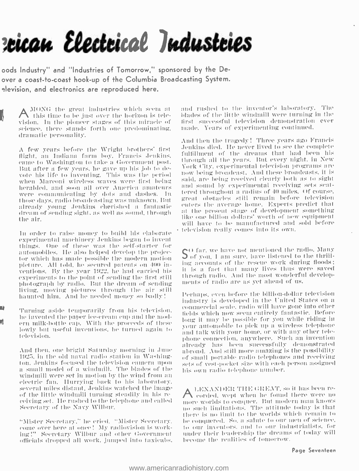## zeican Electrical Industries

oods Industry" and "Industries of Tomorrow," sponsored by the Deover a coast-to-coast hook-up of the Columbia Broadcasting System. elevision, and electronics are reproduced here.

 $A$  MONG the great industries which seem at this time to be just over the horizon is television. In the pioneer stages of this miracle of science, there stands forth one predominating. dramatic personality.

A few years before the Wright brothers' first flight, an Indiana farm boy. Francis Jenkins, came to Washington to take a Government post. But after a few years, he gave up his job to devote his life to inventing. This was the period when Marconi wireless waves were first being heralded, and soon all over America anateurs were communicating by dots and dashes. In those days, radio broadcasting was unknown. But already young Jenkins cherished a fantastic dream of sending sight, as well as sound, through the air.

In order to raise money to build his elaborate experimental machinery Jenkins began to invent things. One of these was the self-starter for automobiles. He also helped develop the projector which has made possible the modern motion picture. All told, he secured patents on 400 inventions. By the year 1922, he had carried his experiments to the point of sending the first still photograph by radio. But the dream of sending living, moving pictures through the air still haunted him. And he needed money so badly!

Turning aside temporarily from his television, he invented the paper ice-cream cup and the modern milk-bottle cap. With the proceeds of these lowly but useful inventions, he turned again to television.

And then, one bright Saturday morning in June 1925, in the old naval radio station in Washington, Jenkins focused the television camera upon a small model of a windmill. The blades of the windmill were set in motion by the wind from an electric fan. Hurrying back to his laboratory. several miles distant. Jenkins watched the image of the little windmill turning steadily in his receiving set. He rushed to the telephone and called Secretary of the Navy Wilbur.

"Mister Secretary," he cried. "Mister Secretary, come over here at once! My radiovision is working!" Secretary Wilbur and other Government officials dropped all work, jumped into taxicabs. and rushed to the inventor's laboratory. The blades of the little windmill were turning in the first successful felevision demonstration ever made. Years of experimenting continued.

And then the tragedy! Three years ago Francis Jenkins died. He never lived to see the complete fulfillment of the dreams that had been his through all the years. But every night, in New York City, experimental television programs are now being broadcast. And these broadcasts, it is said, are being received clearly both as to sight and sound by experimental receiving sets scattered throughout a radius of 40 miles. Of course, great obstacles still remain before television enters the average home. Experts predict that at the present stage of development something like one billion dollars' worth of new equipment will have to be manufactured and sold before television really comes into its own.

 $S$  of far, we have not mentioned the radio, Many  $S$  of you, I am sure, have listened to the thrifling accounts of the rescue work during floods; it is a fact that many lives thus were saved through radio. And the most wonderful developments of radio are as yet ahead of us.

Perhaps, even before the billion-dollar television industry is developed in the United States on a commercial scale, radio will have gone into other fields which now seem entirely fantastic. Before long it may be possible for you while riding in your automobile to pick up a wireless telephone and talk with your home, or with any other telephone connection, anywhere. Such an invention already has been successfully demonstrated abroad. And still more amazing is the possibility of small portable radio telephones and receiving sets of vest-pocket size with each person assigned his own radio telephone number.

A LENANDER THE GREAT, so it has been re-<br>corded, wept when he found there were no more worlds to conquer. But modern man knows no such limitations. The attitude today is that there is no limit to the worlds which remain to be conquered. So, a salute to our men of science, to our inventors, and to our industrialists, for under their leadership the dreams of today will become the realities of fomorrow.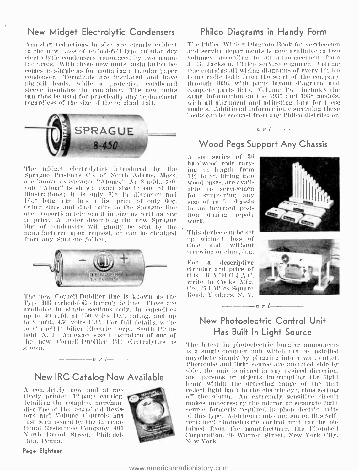### New Midget Electrolytic Condensers

Amazing reductions in size are clearly evident electrolytic condensers announced by two manu-<br>facturers. With these new units, installation be-<br>comes as simple as for mounting a tubular paper<br>condenser. Terminals are insulated and have pig-tail leads, while a protective cardboard<br>sleeve insulates the container. The new units can thus be used for practically any replacement regardless of the size of the original unit.



The midget electrolytics introduced by the Sprague Products Co. of North Adams, Mass.<br>are known as Sprague "Atoms," An 8 mfd., 450are known as Sprague "Atoms." An 8 mfd.. 450 - volt "Atom" is shown exact size in one of the illustrations: it is only  $\frac{n_i}{l}$  in diameter and for<br>15," long, and has a list price of only 60¢. size tither sizes and dual units in the Sprague line are proportionately small in size as well as low in price. A folder describing the new Sprague line of condensers will gladly be sent by the manufacturer upon reynest. or can be obtained from any Sprague jobber.



The new Cornell-Dubilier line is known as the Tyke RR etched -foil electrolytic line. These are available in single sections only, in capacities up to 40 mfd. at 150 volts D.C. rating, and up to 8 mfd.. 450 volts D.C. For full details, write to Cornell-Dubilier Electric Corp., South Plainfield. N. J. An exact size illustration of one of the new Cornell-Dubilier BR electrolytics is shown.



### New IRC Catalog Now Available

A. completely new and attractively printed 12 -page catalog. detailing the complete merchandise line of IRC Standard Resistors and Volume Controls has just been issued by the International Resistance company. 401 North Broad Street, Philadelphia. Penna.



Page Eighteen

### Philco Diagrams in Handy Form

The Philco Wiring Diagram Book for servicemen and service departments is now available in two volumes, according to an announcement from J. R. Jackson, Philco service engineer. Volume One contains all wiring diagrams of every I'hileo home radio built from the start of the company through 1931í. with parts layout diagrams and complete parts lists. Volume Two includes the same information on the 1937 and 1938 models. with all alignment and adjusting data for these models. Additional information concerning these hooks can be secured from any I'hilco distributor.

### $n \rightarrow -$ Wood Pegs Support Any Chassis

A set series of 36 hardwood rods varying in length from 116 to 8", fitting into able to servicemen for supporting any size of radio chassis in an inverted position during repair work.

This device can he set mp without loss of time and without screwing or clamping.

For a descriptive circular and price of this R A DI O J A C. write to Cooks Mfg. Co.. 274 Miles Square Road, Yonkers, N. Y.





### New Photoelectric Control Unit Has Built -In Light Source

 $\frac{1}{\sqrt{1-\frac{1}{n}}}\left\vert \frac{1}{n}+1\right\vert$ 

The latest in photoelectric burglar announcers is a single compact unit which can be installed anywhere simply by plugging into a wall outlet. Phototube and light soiree are mounted side by side; the unit is aimed in any desired direction. and persons or objects interrupting the light beam within the detecting range of the unit reflect light back to the electric eye, thus setting off the alarm. An extremely sensitive circuit source formerly required in photoelectric units of this type. Additional information on this self - contained photoelectric control unit can be obtained from the manufacturer, the Photobell Corporation. 96 Warren Street. New York City, New York.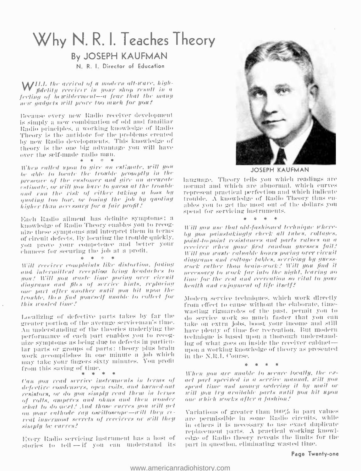### Why N. R. I. Teaches Theory

### **By JOSEPH KAUFMAN**

N. R. I. Director of Education

WILL the arrival of a modern alt-wave, highfidelity receiver in your shop result in a fecting of bewilderment-a fear that the many new gadgets will prove too much for you?

Because every new Radio receiver development is simply a new combination of old and familiar Radio principles, a working knowledge of Radio Theory is the autidote for the problems created by new Radio developments. This knowledge of theory is the one big advantage you will have over the self-made radio man.  $\Phi_{\mathbb{C}} = \Phi_{\mathbb{C}} = \Phi_{\mathbb{C}} = 1$ 

When called upon to give an extinate, will you he able to locate the trouble promptly in the presence of the customer and give an accurate estimate, or will you have to guess at the tronble and run the risk of either taking a loss by quoting too low, or losing the job by quoting higher than necessary for a fair profit?

Each Radio ailment has definite symptoms; a knowledge of Radio Theory enables you to recognize these symptoms and interpret them in terms of circuit defects. By locating the trouble quickly. you prove your competence and better your chances for securing the job at a protit.

 $\pm 1$  $\dot{\mathcal{M}}$ 

Will receiver complaints like distortion, fading and intermittent reception bring headaches to Han? Will you waste lime poring over circuit diagrams and files of service hints, replacing one part after another until you hit upon the troubte, then find yourself unable to collect for this wasted time?

Localizing of defective parts takes by far the greater portion of the average serviceman's time. An understanding of the theories underlying the performance of each part enables you to recognize symptoms as being due to defects in particular parts or groups of parts: theory plus brain work accomplishes in one minute a job which<br>may take your tingers sixty minutes. You profit from this saving of time.

Can you read service instruments in terms of defective condensers, open coils, and burned-out resistors, or do you simply read them in terms of rolls, amperes and ohms and then wonder what to do mext? And those curves you will get on your calhode ray oscilloscope-will they rereal innermost secrets of receivers or will then simply be curves?

Every Radio servicing instrument has a host of stories to tell -- if you can understand its



**JOSEPH KAUFMAN** 

language. Theory tells you which readings are normal and which are abnormal, which curves represent practical perfection and which indicate trouble. A knowledge of Radio Theory thus enables you to get the most out of the dollars you spend for servicing instruments.

Will now use that old-fashioned technique whereby you painstakingly check all tubes, voltages, point-to-point resistances and parts values on a receiver when your first random gnesses fail? Will non-waste raluable hours poring over circuit diagrams and voltage tables, scrricing by guesswork rather than brain-work? Will you find it necessary to work far into the night, leaving no lime for the rest and recreation so rital to your health and enjoyment of life itself?

Modern service techniques, which work directly from effect to cause without the elaborate, timewasting rigmaroles of the past, permit you to do service work so much faster that you can take on extra jobs, boost your income and still have plenty of time for recreation. But modern technique is based upon a thorough understanding of what goes on inside the receiver cabinetupon a working knowledge of theory as presented in the N.R.I. Course.

When you are unable to secure locally, the exact part specified in a service manual, will you spend time and money ordering it by mail or will now try available parts until you hit upon one which works after a fashion?

Variations of greater than 100% in part values are permissible in some Radio circuits, while in others it is necessary to use exact duplicate replacement parts. A practical working knowledge of Radio theory reveals the limits for the part in question, eliminating wasted time.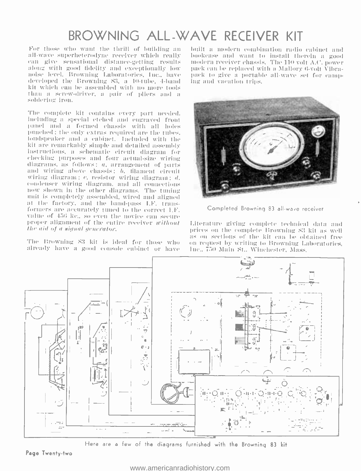### BROWNING ALL -WAVE RECEIVER KIT

For those who want the thrill of building an abuilt a modern combination radio cabinet and all wave superheterodyne receiver which really abookcase and want to install therein a good can give sensational distance-getting r noise level, Browning Laboratories, Inc., have - pack to give a portable developed the Browning 83, a 10-tube, 4-band - ing and vacation trips, developed the Browning 83, a 10-tube, 4-band kit Which can he assembled with no more tools than at screw- driver, a pair of pliers and a soldering iron.

The complete kit contains every part needed. including at special etched and engraved front panel and a formed chassis with all holes punched: the only extras required are the tubes. loudspeaker and a cabinet. Included with the instructions, a schematic circuit diagram for cheehiug purposes and four actual -size wiring diagrams. as follows: a, arrangement of parts and wiring above chassis;  $b$ , filament circuit wiring diagram;  $c$ , resistor wiring diagram;  $d$ , condenser wiring diagram, and all connections<br>now shown in the other diagrams. The tuning<br>unit is completely assembled, wired and aligned<br>at the factory, and the band-pass LF, transformers are accurately tuned to the correct I.F. value of  $456 \text{ kg}$ , so even the novice can secure proper alignment of the entire receiver without the aid of a signal generator.

already have a good console cabinet or paye

built a modern combination radio cabinet and bookcase and want to install therein a good pack to give a portable all wave set for camp-



Completed Browning 83 all-wave receiver

as on sections of the kit can be obtained free<br>The Browning S3 kit is ideal for those who – on request by writing to Browning Laboratories,<br>already have a good console cabinet or have – lnc., 750 Main St., Winchester, Mass Literature giving complete technical data and<br>prices on the complete Browning 83 kit as well



Here are a few of the diagrams furnished with the Browning 83 kit

Page Twenty -two

### <www.americanradiohistory.com>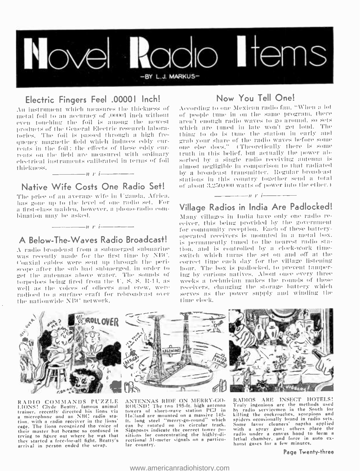

### Electric Fingers Feel .00001 Inch!

An instrument which measures the thickness of metal foil to an accuracy of J00001 inch without even touching the foil is among the newest products of the General Electric research laboratories. The foil is passed through a high frequency magnetic field which induces eddy currents in the foil; the effects of these eddy currents on the field are measured with ordinary electrical instruments calibrated in terms of foil thickness.  $\frac{1}{\sqrt{1-\frac{1}{2}}\sqrt{1-\frac{1}{2}}\sqrt{1-\frac{1}{2}}\sqrt{1-\frac{1}{2}}}}$ 

### Native Wife Costs One Radio Set!

The price of an average wife in Uganda, Africa. has gone up to the level of one radio set. For a first-class maiden, however, a phono-radio combination may be asked.

### A Below-The-Waves Radio Broadcast!

 $\cdots$   $\cdots$   $\cdots$   $\cdots$   $\cdots$ 

A radio broadcast from a submerged submarine was recently made for the first time by NBC. Coaxial cables were sent up through the periscope after the sub had submerged, in order to got the automas above water. The sounds of tornedoes being fired from the U.S.S. R-14, as well as the voices of officers and erew, were radioed to a surface eraft for rebroadcast over the nationwide NBC network.

### Now You Tell One!

According to one Mexican radio fan, "When a lot of people tune in on the same program, there aren't enough radio waves to go around, so sets which are tuned in late wou't get loud. The thing to do is tune the station in early and grab your share of the radio waves before some one else does," (Theoretically there is some truth in this belief, but actually the power absorbed by a single radio receiving auteum is almost negligible in comparison to that radiated by a broadcast transmitter. Regular broadcast stations in this country together send a total of about 3.250,000 watts of power into the ether.)

### $\frac{1}{\sqrt{1-\frac{1}{\sqrt{1-\frac{1}{\sqrt{1-\frac{1}{\sqrt{1-\frac{1}{\sqrt{1-\frac{1}{\sqrt{1-\frac{1}{\sqrt{1-\frac{1}{\sqrt{1-\frac{1}{\sqrt{1-\frac{1}{\sqrt{1-\frac{1}{\sqrt{1-\frac{1}{\sqrt{1-\frac{1}{\sqrt{1-\frac{1}{\sqrt{1-\frac{1}{\sqrt{1-\frac{1}{\sqrt{1-\frac{1}{\sqrt{1-\frac{1}{\sqrt{1-\frac{1}{\sqrt{1-\frac{1}{\sqrt{1-\frac{1}{\sqrt{1-\frac{1}{\sqrt{1-\frac{1}{\sqrt{1-\frac{1}{\sqrt{1-\frac{1$ Village Radios in India Are Padlocked!

Many villages in India have only one radio receiver, this being provided by the government for community reception. Each of these batteryoperated receivers is mounted in a metal box. is permanently timed to the nearest radio station, and is controlled by a clock-work timeswitch which turns the set on and off at the correct time each day for the village listening hour. The box is padlocked, to prevent fampering by curious natives. About once every three weeks a technician makes the rounds of these receivers, changing the storage battery which serves as the power supply and winding the time clock.



RADIO COMMANDS PUZZLE EIONS! Clyde Beatty, famous animal<br>trainer, recently directed his lions via a microphone and an NBC radio station, with a radio receiver in the lions'<br>cage. The lions recognized the voice of their master but became so confused in trying to figure out where he was that they started a free-for-all fight. Beatty's arrival in person ended the scrap.

ANTENNAS RIDE ON MERRY-GO-ROUND! The two 195-ft. high antenna Holland are mounted on a massive 145it. long steel "merry-go-round" which can be rotated on its circular track. Signposts indicate the correct tower positions for concentrating the highly-directional 31-meter signals on a particular country.

RADIOS ARE INSECT HOTELS! Truly ingenious are the methods used by radio servicemen in the South for killing the cockroaches, scorpions and spiders occasionally found in radio sets. Some favor cleaners' naptha applied<br>with a spray gun; others place the radio under a canvas hood to form a letlial chamber, and force in auto exhaust gases for a few minutes.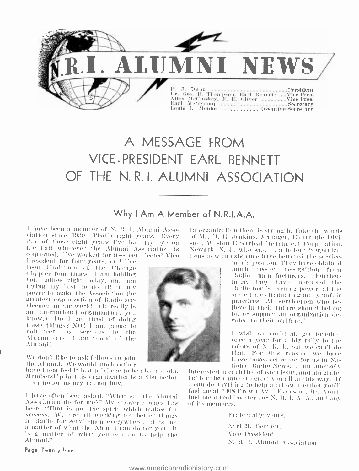

### A MESSAGE FROM VICE PRESIDENT EARL BENNETT OF THE N.R.I. ALUMNI ASSOCIATION

### Why I Am A Member of N.R.I.A.A.

I have been a member of N. R. I. Alumni Assoelation since 1930. That's eight years. Every<br>day of those eight years I've had my eye on the ball wherever the Alumni Association is concerned. I've worked for it--been elected Vice

President for four years, and I've been Chairman of the Chicago<br>Chapter four times, I am holding both offices right today, and am trying my best to do all in my power to make the Association the greatest organization of Radio servicemen in the world. (It really is an international organization, you know.) Do I get tired of doing these things? NO! I am proud to volunteer my services to the Alumni-and I am proud of the Alumni!

We don't like to ask fellows to join the Alumni. We would much rather

have them feel it is a privilege to be able to join. Membership in this organization is a distinction -an honor money cannot buy.

I have often been asked, "What can the Alumni Association do for me?" My answer always has heen, "That is not the spirit which makes for success. We are all working for better things in Radio for servicemen everywhere. It is not a matter of what the Alumni can do for you. It is a matter of what you can do to help the Alumni."

In organization there is strength. Take the words of Mr. B. E. Jenkins, Manager, Electronic Division, Weston Electrical Instrument Corporation. Newark, N. J., who said in a letter; "Organizations now in existence have bettered the service-

man's position. They have obtained nuich needed recognition from Radio manufacturers. Furthermore, they have increased the Radio man's carning power, at the same time eliminating many unfair practices. All servicemen who believe in their future should belong to, or support an organization devoted to their welfare.'

I wish we could all get together once a year for a big rally to the colors of N. R. L. but we can't do that. For this reason, we have these pages set aside for us in National Radio News. I am intensely

interested in each line of each issue, and am grate ful for the chance to greet you all in this way. If I can do anything to help a fellow member you'll find me at 1408 Brown Ave., Evanston, Hl. You'll find me a real booster for N. R. I. A. A., and any of its members.

Fraternally yours,

Earl R. Bennett Vice President N. R. I. Alumni Association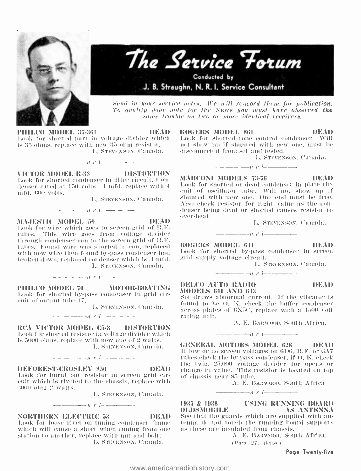



Send in your service notes. We will re-word them for publication. To qualify your note for the NEWS you must have observed the same trouble on two or more identical receivers.

**PHILCO MODEL 37-361 IDEAD** Look for shorted part in voltage divider which is 35 ohns, replace with new 35 ohn resistor. L. STEVENSON, Camada,

 $u, v, i, ...$   $---$ 

VICTOR MODEL R-33 DISTORTION Look for shorted condenser in tilter circuit, Condenser rated at 150 yolts 4 mfd, replace with 4 infd. 600 volts.

L. STEVENSON, Canada.

 $n + i$   $-$ 

**MAJESTIC MODEL 50** 

DEAD

Look for wire which goes to screen grid of R.F. tubes. This wire goes from voltage divider through condenser can to the screen grid of R.F. tubes. Found wire was shorted in can, replaced with new wire then found by-pass condenser had broken down, reidaced condenser which is .1 mfd. L. STEVENSON, Canada.

 $\sim$  2 = 2 = 11 F i = 2 = 2 = 2

**MOTOR-BOATING** PHILCO MODEL 70 Look for shorted by-pass condenser in grid circuit of output tube  $47$ .

L. STEVENSON, Camada,

 $\cdots$   $\cdots$   $\cdots$   $\cdots$ 

RCA VICTOR MODEL (5-3 DISTORTION Look for shorted resistor in voltage divider which is 5000 ohms, replace with new one of 2 wafts. L. STEVENSON, Canada.

 $n r$   $i$   $-$ 

DEFOREST-CROSLEY 850

DEAD Look for burnt out resistor in screen grid circuit which is riveted to the chassis, replace with 6000 ohm 2 watts.

 $\frac{1}{2}$   $\frac{1}{2}$   $\frac{1}{2}$   $\frac{1}{2}$   $\frac{1}{2}$   $\frac{1}{2}$   $\frac{1}{2}$   $\frac{1}{2}$   $\frac{1}{2}$   $\frac{1}{2}$   $\frac{1}{2}$   $\frac{1}{2}$   $\frac{1}{2}$   $\frac{1}{2}$   $\frac{1}{2}$   $\frac{1}{2}$   $\frac{1}{2}$   $\frac{1}{2}$   $\frac{1}{2}$   $\frac{1}{2}$   $\frac{1}{2}$   $\frac{1}{2}$ 

L. STEVENSON, Canada.

### **NORTHERN ELECTRIC 53**

Look for loose rivet on tuning condenser frame which will cause a short when tuning from one station to another, replace with nut and bolt. L. STEVENSON, Canada.

ROGERS MODEL 861

DEMI

Look for shorted tone control condenser. Will not show up if shunted with new one, must be disconnected from set and tested.

L. STEVENSON, Canada.

**MARCONI MODELS 73-76** 

DEMI

DEMD

Look for shorted or dead condenser in plate circuit of oscillator tube. Will not show up if shunted with new one. One end must be free. Also check resistor for right value as the condenser being dead or shorted causes resistor to over-heat.

L. STEVENSON, Canada.

**ROGERS MODEL 611** 

rating unit.

DEAD Look for shorted by-pass condenser in screen grid supply voltage circuit.

 $n$   $i$   $-$ 

 $n r$   $-$ 

L. STEVENSON, Canada.

DELCO AUTO RADIO

MODELS 611 AND 613 Set draws abnormal current. If the vibrator is found to be O. K. check the buffer condenser across plates of 6X5C, replace with a 1500 volt

A. E. BARWOOD, South Africa.

 $+$   $+$   $i$   $-$ 

**GENERAL MOTORS MODEL 628** - DEAD If low or no screen voltages on 6106, R.F. or 6A7 tubes check the by-pass condenser, if O. K. check the twin 25,000 voltage divider for opens or change in value. This resistor is located on top of chassis near 85 tube.

 $+$   $+$   $+$   $+$   $+$   $-$ 

A. E. BARWOOD, South Africa

1937 & 1938 **USING RUNNING BOARD OLDSMOBILE** AS ANTENNA See that the guards which are supplied with antenna do not touch the running board supports as these are insulated from chassis.

A. E. BARWOOD, South Africa.

(Page 27, please)

Page Twenty-five

DEAD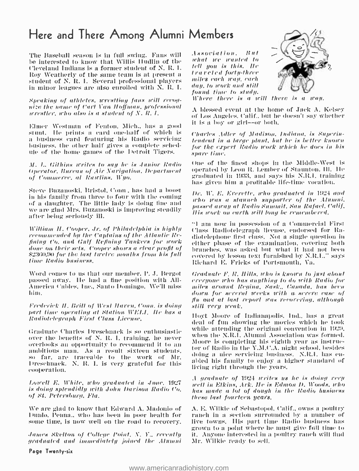### Here and There Among Alumni Members

The Baseball season is in full swing. Fans will be interested to know that Willis Hudlin of the Cleveland Indians is a former student of N. R. I. Roy Weatherly of the same team is at present a student of N. R. I. Several professional players in minor leagues are also enrolled with N. R. I.

Speaking of athletes, wrestling fans will revognize the name of Carl Van Hoffman, professional *acrestier*, who also is a student of N, R, I,

Elmer Westman of Fenton, Mich., has a good stunt. He prints a card one-half of which is a business card featuring his Radio servicing business, the other half gives a complete schedule of the home games of the Detroit Tigers.

M. L. Githins writes to say he is Junior Radio Operator, Bureau of Air Navigation, Department of Commerce, al Rawlins, Wyo.

Steve Buzanoski, Bristol, Conn., has had a boost in his family from three to four with the coming of a daughter. The little lady is doing fine and we are glad Mrs. Buzanoski is improving steadily after being seriously ill.

William H. Cooper, Jr. of Philadelphia is highly recommended by the Cantains of the Atlantic Refining Co. and Gulf Refining Tankers for work done on their sets. Cooper shows a clear profit of \$2360.90 for the last twelve months from his full time Radio business.

Word comes to us that our member, P. J. Bergot passed away. He had a fine position with All-America Cables, Inc., Santo Domingo, We'll miss him.

**Frederick H. Brill of West Haven, Conn. is doing** part time operating at Station WELL, He has a Radiotelegraph First Class License.

Graduate Charles Dreschnack is so enthusiastic over the benefits of N. R. I, training, he never overlooks an opportunity to recommend it to an ambitious man. As a result sixteen students, so far, are traceable to the work of Mr. Dreschnack. N. R. I. is very grateful for this cooperation.

Lowell E. White, who graduated in June, 1927 is doing splendidly with John Davison Radio Co. of St. Petersburg, Fla.

We are glad to know that Edward A. Madonio of Dunlo, Penna., who has been in poor health for some time, is now well on the road to recovery.

James Skelton of College Point, N. Y., recently graduated and immediately joined the Alumni

Page Twenty-six

Association, But what we wanted to tell you is this. He traveled forty-three miles each wan, each day, to work and still found time to study.



Where there is a will there is  $100H$  $\mathcal{L}$ 

A blessed event at the home of Jack A. Kelsey of Los Angeles, Calif., but he doesn't say whether it is a boy or girl--or both.

Charles Adler of Madison, Indiana, is Superintendont in a large plant, but he is better known for the expert Radio work which he does in his spare time.

One of the finest shops in the Middle-West is operated by Leon R. Lember of Staunton, Ill. He graduated in 1933, and says his N.R.I. training has given him a profitable life-time vocation.

Dr. W. E. Everette, who graduated in 1924 and who was a staunch supporter of the Alumni. passed away at Radio Summit, San Rafael, Calif. His work on earth will long be remembered.

"I am now in possession of a Commercial First Class Radiotelegraph license, endorsed for Radiotelephone first class. Not a single question in either phase of the examination, covering both branches, was asked but what it had not been covered by lesson text furnished by N.R.L." says Richard E. Fricks of Portsmouth, Va.

Graduate F. R. Hills, who is known to just about everyone who has anything to do with Radio for miles around Regina, Sask., Canada, has been down for several weeks with a severe case of flu and at last report was recovering, although still very weak.

Hoyt Moore of Indianapolis, Ind., has a great deal of fun showing the movies which he took while attending the original convention in 1929. when the N.R.I. Alumni Association was formed. Moore is completing his eighth year as instructor of Radio in the Y.M.C.A. night school, besides doing a nice servicing business. N.R.I. has enabled his family to enjoy a higher standard of living right through the years.

A graduate of 1924 writes us he is doing very well in Elkins, Ark, He is Edmon D. Woods, who has made a lot of dough in the Radio business these last fourteen years.

A. E. Wilkie of Sebastopol, Calif., owns a poultry ranch in a section surrounded by a number of live towns. His part time Radio business has grown to a point where he must give full time to it. Anyone interested in a poultry ranch will find Mr. Wilkie ready to sell.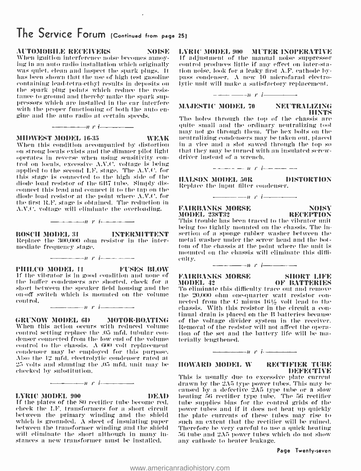### The Service Forum (Continued from page 25)

When ignition interference noise becomes annoy-<br>ing in an auto radio installation which originally was quiet, clean and inspect the spark plugs. It has been shown that the use of high test gasoline containing lead-tetra-ethyl results in deposits on the spark plug points which reduce the resistance to ground and thereby make the spark suppressors which are installed in the ear interfere with the proper functioning of both the auto en-<br>gine and the auto radio at certain speeds.

 $\frac{1}{\sqrt{1-\frac{1}{\sqrt{1-\frac{1}{\sqrt{1-\frac{1}{\sqrt{1-\frac{1}{\sqrt{1-\frac{1}{\sqrt{1-\frac{1}{\sqrt{1-\frac{1}{\sqrt{1-\frac{1}{\sqrt{1-\frac{1}{\sqrt{1-\frac{1}{\sqrt{1-\frac{1}{\sqrt{1-\frac{1}{\sqrt{1-\frac{1}{\sqrt{1-\frac{1}{\sqrt{1-\frac{1}{\sqrt{1-\frac{1}{\sqrt{1-\frac{1}{\sqrt{1-\frac{1}{\sqrt{1-\frac{1}{\sqrt{1-\frac{1}{\sqrt{1-\frac{1}{\sqrt{1-\frac{1}{\sqrt{1-\frac{1}{\sqrt{1-\frac{1$ 

When this condition accompanied by distortion on strong locals exists and the dimmer pilot light<br>operates in reverse when using sensitivity control on locals, excessive A.V.C. voltage is being applied to the second  $L.F.$  stage. The  $A.V.C.$  for this stage is connected to the high side of the diode load resistor of the 6117 tube. Simply disconnect this lead and connect it to the tap on the diode load resistor at the point where A.V.C. for the first. R. F'. stage is obtained. The reduction in A.V.C. voltage will eliminate the overloading.

**BOSCH MODEL 31 INTERMITTENT** Replace the 300,000 olim resistor in the intermediate frequency stage.

 $n$   $r$   $i$   $-$ 

 $n$   $r$   $i$   $-$ 

**PHIL('O MODEL 11** FUSES BLOW If the vibrator is in good condition and none of **FAIRBANKS MORSE** the buffer condensers are shorted, check for as  $\text{MODEL}42$  short between the speaker field housing and the  $\text{To eliminate}$ on-off switch which is mounted on the volume  $\pm$  the 20,000 ohm one-quarter watt resistor concontrol.

 $n$  r i  $-$ 

GRUNOW MODEL 6D MOTOR-BOATING When this action occurs with reduced volume control setting replace the .05 mfd. tubular con- tion of the set and denser connected from the low end of the volume - terially lengthened. control to the chassis. A GOO volt replacement condenser may he employed for this purpose. Also the 12 mfd. electrolytic condenser rated at 25 volts and shunting the .05 mfd. unit may be checked by substitution.

 $-\cdots$ nr i

### LYRIC MODEL 900 DEAD DEAD If the plates of the SO rectifier tube become red. check the LF'. transformers for a short circuit. between the primary winding and the shield which is grounded. A sheet of insulating paper between the transformer winding and the shield will eliminate the short although in many instances a new transformer must be installed.

AUTOMOBILE RECEIVERS NOISE LYRIC MODEL 900 MUTER INOPERATIVE control produces little if any effect on inter -station nuise. look for a leaky first A.F. cathode by $p$ ass condenser. A new 10 microfarad electrolytic unit will make a satisfactory replacement.  $n_{\text{new}}$  instant...<br>new 10 microfarad electromagnetic satisfactory replacement.<br>new  $r$  i

### MAJESTIC MODEL 70 NEUTRALIZING

**31IDWEST MODEL 16-35** WEAK peutralizing condensers may be taken out, placed<br>When this condition accompanied by distortion in a vice and a slot sawed through the top so The holes through the top of the chassis are quite small and the ordinary neutralizing tool may not go through them. The hex bolts on the neutralizing condensers may he taken out. placed that they may be turned with an insulated screwdriver instead of a wrench.



HALSON MODEL 50R DISTORTION Replace the input filter condenser.

 $-- n$   $i$   $---$ 

FAIRBANKS MORSE NOISY<br>MODEL 238T32 RECEPTION

HiNTS

MODEL 238T32 This trouble has been traced to the vibrator unit being too tightly mounted on the chassis. The insertion of a sponge rubber washer between the metal washer under the screw head and the bottom of the chassis at the point where the unit is tom of the chassis at the point where the unit is<br>mounted on the chassis will eliminate this difficulty.<br> $\begin{array}{ccc}\n\hline\n\hline\n\end{array}$   $\begin{array}{ccc}\n\hline\n\end{array}$   $\hline\n\end{array}$   $\begin{array}{ccc}\n\hline\n\end{array}$   $\begin{array}{ccc}\n\hline\n\end{array}$ 

### FAIRBANKS MORSE SHORT LIFE<br>MODEL 42 OF BATTERIES

To eliminate this difficulty trace out and remove the 20.000 ohm one-quarter watt resistor connected from the C minus 16½ volt lead to the chassis. With this resistor in the circuit a con- tinual drain is placed on the 11 batteries because of the voltage divider system in the receiver. Removal of the resistor will not affect the operation of the set and the battery life will be ma-

 $n$   $r$   $i$   $-$ 

### **IIOWARD MODEL W RECTIFIER TUBE**

This is usually due to excessive plate current drawn by the  $2\Lambda5$  type power tubes. This may be caused by a defective 2A5 type tube or a slow<br>heating 56 rectifier type tube. The 56 rectifier tube supplies bias for the control grids of the power tubes and if it does not heat up quickly the plate currents of these tubes may rise to such an extent that the rectifier will be ruined. Therefore be very careful to use a quick heating 56 tube and  $2\Lambda5$  power tubes which do not show any cathode to heater leakage.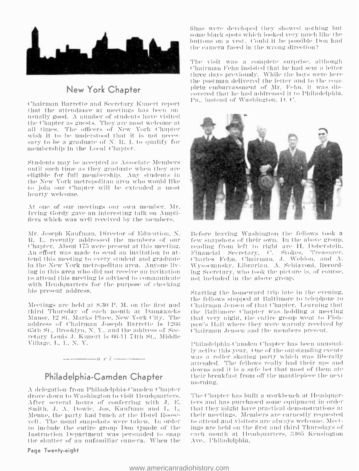

New York Chapter

Chairman Barrette and Secretary Kuaert report that the attendance at meetings has been nn- usually good. A number of studeuls have visited the Chapter as guests. They are most welcome at all times. The officers of New York Chapter wish it to be understood that it is not necessary to be a graduate of  $N$ . R. I. to qualify for membership in the Local Chapter.

Students may be accepted as Associate Members eligible for full membership. Any students in the New York metropolitan area who would like to ,join our Chapter will be extended a most hearty welcome.

At one of our meetings our own member. Mr. Irving Gordy gave an iutresting talk on Amplifiers Which was well received by the members.

B. I.. recently addressed tIu members of our t'hapter. About 173 were present at this meeting. An effort was made to send an invitation to attend this meeting to every student and graduate in the New York metropolitan area. Anyone living in this area who did not receive an invitation to attend this meeting is advised to communicate with Ileadynarters for the purpose of chocking his present address.

Meetings are held at S.30 P. M. on the first and third Thursday of each month at Damanzeks Manor, 12 St. Marks Place, New York City. The address of Chairman Joseph Barrette is 1266<br>65th St., Brooklyn, N. Y., and the address of Seeretary Louis J. Kunert is 66-11 74th St.. Middle Village, L. I., X. Y.

### Philadelphia-Camden Chapter

 $t'$  is the set of the set of  $i'$  is the set of  $i'$ 

A delegation from Philadelphia- ('atndeu Chapter drove down to Washington to visit Headquarters. After several hours of conferring with J. E. Smith, J. A. Dowie, Jos. Kaufman and L. L. Menne, the party had lunch at the Hotel Roosevelt. The usual snapshots were taken. In order to attend and visitors are always welcome. Meetto include the entire group Don Quade of the Instruction Department was persuaded to snap the shutter of an unfamiliar camera. When the

### Page Twenty -eight

lilurs were developed they showed nothing but some black spots which looked very much like the buttons on a vest. Could it be possible Don had the camera faced in the wrong direction?

The visit was a complete surprise, although Chairman Fehn insisted that he had sent a letter three days previously. While the boys were here the postman delivered the letter and to the com-<br>plete embarrassment of Mr. Fehn. it was discovered that he had addressed it to Philadelphia. Pa., instead of Washington, D. C.



Mr. Joseph Kaufman, Director of Education, N. Before leaving Washington the fellows took a few snapshots of their own. In the above group. reading from left to right are H. Doberstein. Financial Secretary. C. Stokes. Treasurer. ('harles Felw, Chairman. J. Weldon. and A. \ \'ysoczaushy, ISbr:riat. A. Sehiavoui, Recording Secretary, who took the picture is, of course, not included in the above group,

> Starting the homeward trip late in the evening. the fellows stopped at Baltimore to telephone to Chairman Jensen of that Chapter. Learning that the Baltimore Chapter was holding at meeting that very night, the entire group went to Fishpaw's Hall where they were warmly received by Chairman Jensen and the members present.

> I'Itiladelpltia- ('antden Chapter lias been unusually active this year. One of the outstanding events was :a roller skating party which was liberally attended. The fellows really had their ups and downs and it is a safe bet that most of them ate their breakfast from off the mantlepiece the next morning.

> The Chapter has built a workbench at Headquarters and has purchased some equipment in order that they might have practical dennmstrations at their meetings. Members are earnestly requested ings are held on the first and third Thursdays of each month at Headquarters, 3105 Kensington Ave., l'hiladelphia.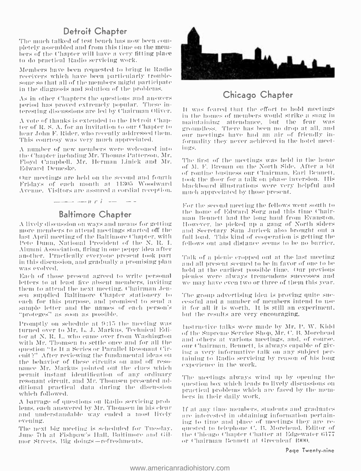### Detroit Chapter

The much talked of test bench has now been com-<br>pletely assembled and from this time on th<mark>e me</mark>m-<br>hers of the Chapter will have a very fitting place to do practical Radio servicing work.

Members have been requested to bring in Radio some so that all of the members might participate in the diaguosis and solution of the problems.

As in other Chapters the questions and answers period has proved extremely popular. These interesting discussions are led by Chairman Oliver.

A vote of thanks is extended to the Detroit Chaphear John F. Rider, who recently addressed them. This courtesy was very much appreciated.

A number of new members were welcomed into <sup>t</sup>he Charter including Mr. Thomas Patterson. Mr. Floyd Campbell, Mr. Herman l.itick and Mr. Edward I )emeske.

our meetings are held on the second and fourth Fridays of each month at 11305 Woodward Avenue. Visitors are assured a cordial reception.



### Baltimore Chapter

A lively discussion on ways and means for getting — However, he picked up a gang of North siders<br>more members to attend meetings started off the — and Secretary Sam Juricek also brought out a<br>last April meeting of the Balt last April meeting of the Baltimore Chapter, with ('etc Puum. National l'tesidenl of the N. It. I. .klimmi Association. tiring in one peppy idea after another. l'raclically everyone present tool; part iu this discussion, and gradually a promising plan was evolved.

Each of those present agreed to write personal letters to at least five absent members, inviting we may have even two or three of them this year, them to attend the next meeting. Chairman Jen- sen supplied Baltimore Chapte each for this purpose, and promised to send a sample letter and the names of each person's '.proteges" as soon as possible.

l'romptly on schedule at 9:15 the meeting was turned over to Mr. L. J. Markus. Technical Editor at N. R. L. who came over from Washington with Mr. Thomsen to settle once and for all the same overrs at various meetings, and, or course.<br>For Chairman, Bennett, is always capable of givquestion "Is It a Series or Parallel Resonant Cir-<br>enit?" After reviewing the fundamental ideas on cuit '... After reviewing the fundamental ideas on the balling to Radio servicing by reason of his long<br>the behavior of these circuits on and off reso- oxperience in the work.<br>nance Mr. Markus pointed out the clues which permit instant identification of any ordinary resonant circuit. and Mr. Thomsen presented additional practical data during the discussion supercrical problems which are faced by the memwhich followed.

A barrage of questions on Radio servicing problems. each answered by Mr. Thomsen in his clear and understandable way ended a most lively evening.

'The next big meeting is scheduled for 'Tuesday. .Irne 7th at Fishpaw's hall. Baltimore and (Mmor Streets. Rig doings-refreshments.



### Chicago Chapter

ter of R. S. A. for an invitation to our Chapter to  $\frac{1}{2}$  groundless. There has been no drop at all, and hear John F. Rider, who recently addressed them.  $\frac{1}{2}$  our meetings have had an air of friendly in-It was feared that the effort to hold meetings<br>in the homes of members would strike a snag in maintaining attendance, but the fear was groundless. There has been no drop at all, and formality they never achieved in the hotel meetings.

> The first of the meetings was held in the home of M. F. Brenan on the North Side. After a hit of routim' business our Chairman. Earl Bennett. tool: the floor for a talk on phase inversion. His blackboard illustrations were very helpful and much appreciated by those present.

> For the second meeting the fellows went south to<br>the home of Edward Sorg and this time Chairman Bennett had the long haul from Evanston. IIowever. he picked up a gang of North shiers and Secretary Sam Juricek also brought out a fellows out and distance seems to be no barrier.

> Talk of a picnic cropped out at the last meeting<br>and all present seemed to be in favor of one to be we may have even two or three of them this year.

> The group advertising idea is proving quite sucit for all it is worth. It is still an experiment, but the results are very encouraging.

> Instructive talks were made by Mr. T'. W. Kidd of the Supreme Service Shop. Mr. C. B. Morehead and others at various meetings, and, of course. ing a very informative talk on any subject per-

> The meetings always wind up by opening the question box which leads to lively discussions on practical problems which are faced by the mem- bers in their daily work.

> If at any time members, students and graduates are interested in obtaining information pertaining to time and place of meetings they are regnested to telephone ('. IS. Morehead. Editor of the Chicago Chapter Chatter at Edgewater 6177<br>or Chairman Bennett at Greenleaf 4900.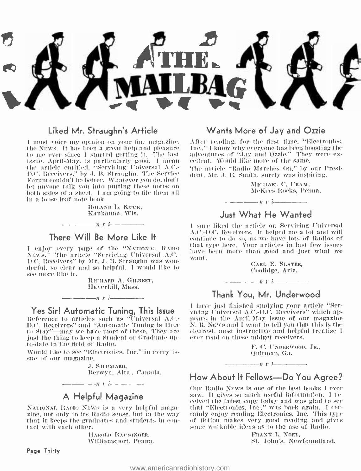

### Liked Mr. Straughn's Article

<sup>1</sup>must voice my opinion on your fine magazine. the NEWs. It has been a great help and pleasure to me ever since I started getting it. The last – adventures of "Jay and Ozzie." They<br>issue, April-May, is particularly good. I mean – cellent. Would like more of the same. the article entitled, "Servicing Universal A.C.- The article "Radio Marches On," by our Presi-D.C. Receivers," by J. B. Straughn. The Service Forum couldn't be better. Whatever you do. don't both sides of a sheet. I am going to file them all in a loose leaf note book.

> ROLAND L. KUCK, Kaukauna, Wis.

### There Will Be More Like It

 $r_i$ 

I enjoy every page of the "NATIONAL RADIO - <sup>14</sup><br>NEws." The article "Servicing Universal A.C.- - <sub>w</sub> D.C. Receivers" by Mr..T. B. Straughn was won- derful. so clear and so helpful. I would like to see more like it.

> RICHARD A. GILBERT, Ilaverhill, Mass.

Yes Sir! Automatic Tuning, This Issue Reference to articles such as "Universal A.C.-D.C. Receivers" and "Automatic Tuning is Here to Stay"—may we have more of these. They are just the thing to keep a Student or Graduate upto -date in the field of Radio.

 $\frac{1}{\sqrt{1-\frac{1}{\sqrt{1-\frac{1}{\sqrt{1-\frac{1}{\sqrt{1-\frac{1}{\sqrt{1-\frac{1}{\sqrt{1-\frac{1}{\sqrt{1-\frac{1}{\sqrt{1-\frac{1}{\sqrt{1-\frac{1}{\sqrt{1-\frac{1}{\sqrt{1-\frac{1}{\sqrt{1-\frac{1}{\sqrt{1-\frac{1}{\sqrt{1-\frac{1}{\sqrt{1-\frac{1}{\sqrt{1-\frac{1}{\sqrt{1-\frac{1}{\sqrt{1-\frac{1}{\sqrt{1-\frac{1}{\sqrt{1-\frac{1}{\sqrt{1-\frac{1}{\sqrt{1-\frac{1}{\sqrt{1-\frac{1}{\sqrt{1-\frac{1$ 

Would like to see "Electronics. Inc." in every is- sue of our magazine.

J. SHUMARD, Berwyn. Alta.. Canada.

 $-$ n r i

### A Helpful Magazine

NATIONAL RADIO NEWS is a very helpful maga-<br>zine, not only in its Radio sense, but in the way that it keeps the graduates and students in con-<br>tact with each other.

> HAROLD BAUSINGER. Williamsport. Penna.

### Page Thirty

### Wants More of Jay and Ozzie

After reading, for the first time, "Electronics, Inc.." I know why everyone has been boosting the adventures of "Jay and Qzzie." They were ex-

dent, Mr. J. E. Smith, surely was inspiring.

3TICIIAEI. C. l'RAM, McKees Rocks, Penna. - -n r i

### Just What He Wanted

<sup>I</sup>sure liked the article on Servicing Universal A.('.- I1.('. Receivers. it helped me a lot and will continue to do so. as we have lots of Radios of that type here. Your articles in last few issues have been more than good and just what we want.

> CART. E. SLATER, Coolidge, Ariz.

### $n$   $i$   $-$ Thank You. Mr. Underwood

1 have ,just finished studying your article "Servicing Universal A.t'. -D.('. Receivers" which appears in the April-May issue of our magazine N. R. NEWS and I want to tell you that this is the clearest, most instructive and helpful treatise <sup>I</sup>ever read on these midget receivers.

> F. C. UNDERWOOD, JR., Quitman, Ga.

### - ---n r i- - How About It Fellows-Do You Agree?

Our Radio News is one of the best books I ever<br>saw. It gives so much useful information. I re-<br>ceived the latest copy today and was glad to see<br>that "Electronics, Inc.." was back again. I cer-<br>tainly enjoy reading Electron

FRANK L. NOEL, St. John's. Newfoundland.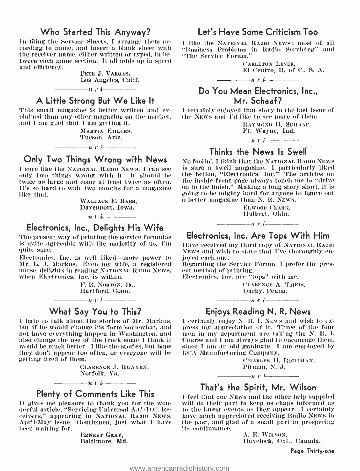### Who Started This Anyway?

In filing the Service Sheets, I arrange them ac- cording to name, and insert u blank sheet with the receiver name, either written or typed, In between each name section. It all adds up in speed and efficiency.

> PETE J. VARGAS, Los Angeles, Calif.

A Little Strong But We Like It

 $-\cdots$  r i  $\cdots$ 

This small magazine is better written and ex- plained than any other magazine on the nmrket, and I am glad that I am getting it.

MARTIN EHLERS,<br>Tueson, Ariz,

 $\cdots$   $\cdots$   $\cdots$   $\cdots$   $\cdots$   $\cdots$ Only Two Things Wrong with News

twice as large and come at least twice as often. It's so hard to wait two months for a magazine like that.

> WALLACE E. BABB, Davenport, Iowa.  $\frac{1}{1}$  is the interest of  $\frac{1}{1}$  is the interest of  $\frac{1}{1}$  is the interest of  $\frac{1}{1}$

### Electronics, Inc., Delights His Wife

The present way of printing the service formulas is quite agreeable with the majority of us, I'n quite sure.

Electronics. Inc. is well liked-more power to jo Mr. L. J. Markus. Even my wife, a registered - R<br>nurse, delights in reading NATIONAL RADIO NEWS, - e when Electronics, Inc. is within.

F. R. NORTON, JR., Hartford, Conn.

 $\cdots$  is represented to  $\mathbf{r}$ 

### What Say You to This?

I hate to talk about the stories of Mr. Markus. I certainly enjoy N. R. I. News and wish to ex-<br>but if he would change his form somewhat, and press my appreciation of it. Three of the four but if he would change his form somewhat, and press my appreciation of it. Three of the four not have everything happen in Washington, and I men in my department are taking the N. R. I. not have everything happen in Washington, and also change the use of the truck some I think it would be much better. I like the stories, but hope they don't appear too often, or everyone will he getting tired of them.

> CLARENCE J. RUNYEN. Norfolk, Va.

 $\frac{1}{\sqrt{1-\frac{1}{\sqrt{1-\cdots}}}}$ Plenty of Comments Like This

It gives me pleasure to thank you for the won- derful article, "Servicing Universal A.C. -D.C. Rederful article, "Servicing Universal A.C.-D.C. Re- — to the latest events as they appear. I certainly<br>ceivers," appearing in NATIONAL RADIO NEWS. — have much appreciated receiving Radio NEWS in April-May issue. Gentlemen, just what I have the past, and gl<br>been waiting for, the state of the continuance. been waiting for.

> ERNEST GRAY, Baltimore, Md.

### Let's Have Some Criticism Too

I like the NATIONAL RADIO NEWS; must of all "Business Problems in Radio Servicing" and "The Service Forum."

> ('ARLETON LEVER, El Centro, R. of C., S. A.

### Do You Mean Electronics, Inc., Mr. Schaaf?

 $-\rightarrow$ ur $\rightarrow$ 

<sup>I</sup>certainly enjoyed that story in the last issue of the NEWs and I'd like to see more of them.

> RAYMOND II. SCIIAAF, Ft. Wayne, Ind.

### $\frac{1}{r}$  i-  $\frac{1}{r}$ Thinks the News Is Swell

I sure like the NATIONAL RADIO NEWS, I can see the sure a swell magazine. I particularly liked<br>only two things wrong with it. It should be the fiction, "Electronics, Inc." The articles on No foolin', I think that the NATIONAL RADIO NEWS is sure a swell magazine. I particularly liked the inside front page always touch me to "drive going to he mighty hard for anyone to figure out a better magazine than N. R. NEWS.

> EI.WOOD CLARK, IIulbert, Okla.

### $\frac{1}{\sqrt{1-\frac{1}{\sqrt{1-\frac{1}{\sqrt{1-\frac{1}{\sqrt{1-\frac{1}{\sqrt{1-\frac{1}{\sqrt{1-\frac{1}{\sqrt{1-\frac{1}{\sqrt{1-\frac{1}{\sqrt{1-\frac{1}{\sqrt{1-\frac{1}{\sqrt{1-\frac{1}{\sqrt{1-\frac{1}{\sqrt{1-\frac{1}{\sqrt{1-\frac{1}{\sqrt{1-\frac{1}{\sqrt{1-\frac{1}{\sqrt{1-\frac{1}{\sqrt{1-\frac{1}{\sqrt{1-\frac{1}{\sqrt{1-\frac{1}{\sqrt{1-\frac{1}{\sqrt{1-\frac{1}{\sqrt{1-\frac{1}{\sqrt{1-\frac{1$ Electronics, Inc. Are Tops With Him

Have received my third copy of NATIONAL RADIO NEWS and wish to state that I've thoroughly en-<br>joyed each one.<br>Regarding the Service Forum. I prefer the pres-<br>ent method of printing.

Electronics. Inc. are "tops" with me. ('L.ARENCE A. 'l'ilF:Is,

Darby, Penna.  $n \cdot i$ 

### Enjoys Reading N. R. News

I certainly enjoy N. R. I. NEWs and wish to ex-Course and I am always glad to encourage them. since I am an old graduate. I am employed by III'A Mannfacturiig Company.

> CHARLES II. RICHMAN, Pitman, N. J.

That's the Spirit, Mr. Wilson

 $1 \cdot i$  r i  $-$ 

I feel that our NEWS and the other help supplied will do their part to keep us chaps informed as the past, and glad of a small part in prospering

> A. E. WILSON, Havelock, Out., Canada.

> > Page Thirty -one